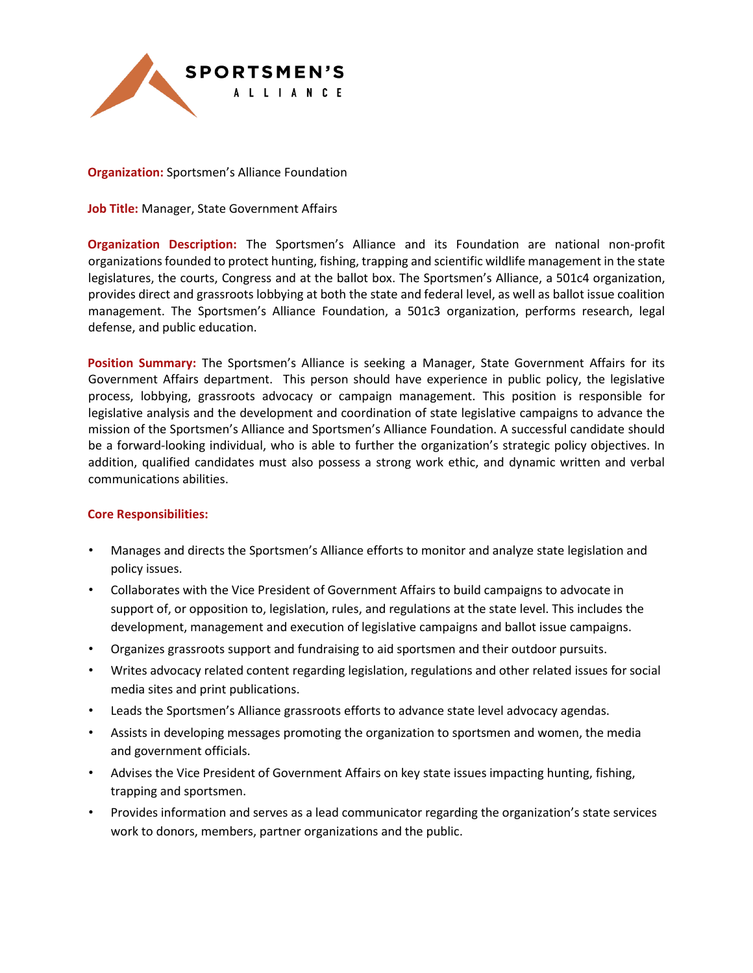

**Organization:** Sportsmen's Alliance Foundation

**Job Title:** Manager, State Government Affairs

**Organization Description:** The Sportsmen's Alliance and its Foundation are national non-profit organizations founded to protect hunting, fishing, trapping and scientific wildlife management in the state legislatures, the courts, Congress and at the ballot box. The Sportsmen's Alliance, a 501c4 organization, provides direct and grassroots lobbying at both the state and federal level, as well as ballot issue coalition management. The Sportsmen's Alliance Foundation, a 501c3 organization, performs research, legal defense, and public education.

**Position Summary:** The Sportsmen's Alliance is seeking a Manager, State Government Affairs for its Government Affairs department. This person should have experience in public policy, the legislative process, lobbying, grassroots advocacy or campaign management. This position is responsible for legislative analysis and the development and coordination of state legislative campaigns to advance the mission of the Sportsmen's Alliance and Sportsmen's Alliance Foundation. A successful candidate should be a forward-looking individual, who is able to further the organization's strategic policy objectives. In addition, qualified candidates must also possess a strong work ethic, and dynamic written and verbal communications abilities.

## **Core Responsibilities:**

- Manages and directs the Sportsmen's Alliance efforts to monitor and analyze state legislation and policy issues.
- Collaborates with the Vice President of Government Affairs to build campaigns to advocate in support of, or opposition to, legislation, rules, and regulations at the state level. This includes the development, management and execution of legislative campaigns and ballot issue campaigns.
- Organizes grassroots support and fundraising to aid sportsmen and their outdoor pursuits.
- Writes advocacy related content regarding legislation, regulations and other related issues for social media sites and print publications.
- Leads the Sportsmen's Alliance grassroots efforts to advance state level advocacy agendas.
- Assists in developing messages promoting the organization to sportsmen and women, the media and government officials.
- Advises the Vice President of Government Affairs on key state issues impacting hunting, fishing, trapping and sportsmen.
- Provides information and serves as a lead communicator regarding the organization's state services work to donors, members, partner organizations and the public.